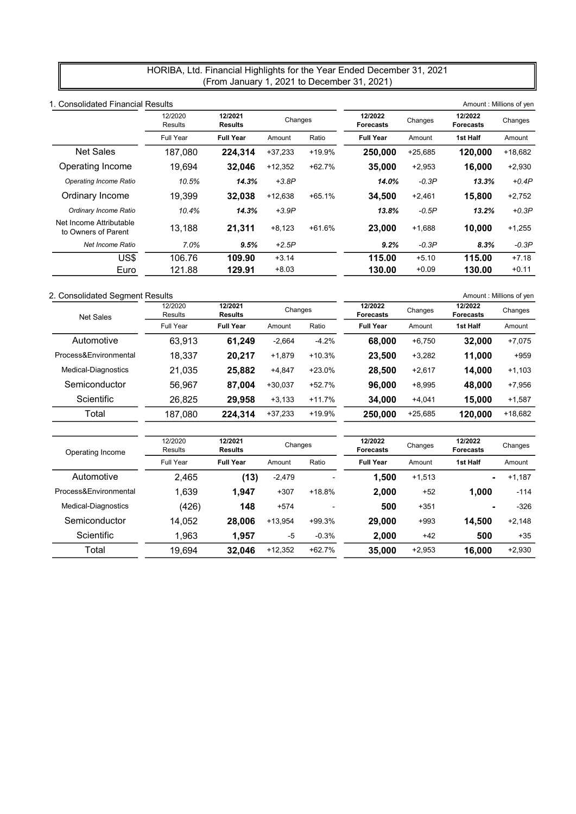## HORIBA, Ltd. Financial Highlights for the Year Ended December 31, 2021 (From January 1, 2021 to December 31, 2021)

| 1. Consolidated Financial Results |                           |           |          |                             |           |                             | Amount: Millions of yen |
|-----------------------------------|---------------------------|-----------|----------|-----------------------------|-----------|-----------------------------|-------------------------|
| 12/2020<br>Results                | 12/2021<br><b>Results</b> |           |          | 12/2022<br><b>Forecasts</b> | Changes   | 12/2022<br><b>Forecasts</b> | Changes                 |
| <b>Full Year</b>                  | <b>Full Year</b>          | Amount    | Ratio    | <b>Full Year</b>            | Amount    | 1st Half                    | Amount                  |
| 187,080                           | 224.314                   | $+37,233$ | +19.9%   | 250,000                     | $+25,685$ | 120,000                     | $+18,682$               |
| 19.694                            | 32.046                    | $+12,352$ | $+62.7%$ | 35,000                      | $+2,953$  | 16.000                      | $+2,930$                |
| 10.5%                             | 14.3%                     | $+3.8P$   |          | 14.0%                       | $-0.3P$   | 13.3%                       | $+0.4P$                 |
| 19.399                            | 32.038                    | $+12,638$ | $+65.1%$ | 34.500                      | $+2,461$  | 15,800                      | $+2,752$                |
| 10.4%                             | 14.3%                     | $+3.9P$   |          | 13.8%                       | $-0.5P$   | 13.2%                       | $+0.3P$                 |
| 13,188                            | 21,311                    | $+8,123$  | $+61.6%$ | 23,000                      | $+1,688$  | 10.000                      | $+1,255$                |
| 7.0%                              | 9.5%                      | $+2.5P$   |          | 9.2%                        | $-0.3P$   | 8.3%                        | $-0.3P$                 |
| 106.76                            | 109.90                    | $+3.14$   |          | 115.00                      | $+5.10$   | 115.00                      | $+7.18$                 |
| 121.88                            | 129.91                    | $+8.03$   |          | 130.00                      | $+0.09$   | 130.00                      | $+0.11$                 |
|                                   |                           |           |          | Changes                     |           |                             |                         |

### 2. Consolidated Segment Results **Amount : Millions of yen**

| <b>Net Sales</b>      | 12/2020<br>Results | 12/2021<br><b>Results</b> | Changes   |          | 12/2022<br><b>Forecasts</b> | Changes   | 12/2022<br><b>Forecasts</b> | Changes   |
|-----------------------|--------------------|---------------------------|-----------|----------|-----------------------------|-----------|-----------------------------|-----------|
|                       | Full Year          | <b>Full Year</b>          | Amount    | Ratio    | <b>Full Year</b>            | Amount    | 1st Half                    | Amount    |
| Automotive            | 63.913             | 61.249                    | $-2,664$  | $-4.2%$  | 68,000                      | $+6,750$  | 32.000                      | $+7,075$  |
| Process&Environmental | 18.337             | 20.217                    | $+1.879$  | $+10.3%$ | 23.500                      | $+3,282$  | 11.000                      | $+959$    |
| Medical-Diagnostics   | 21.035             | 25,882                    | $+4,847$  | $+23.0%$ | 28.500                      | $+2,617$  | 14.000                      | $+1,103$  |
| Semiconductor         | 56.967             | 87.004                    | $+30,037$ | $+52.7%$ | 96.000                      | $+8,995$  | 48,000                      | $+7,956$  |
| Scientific            | 26,825             | 29.958                    | $+3,133$  | $+11.7%$ | 34,000                      | $+4,041$  | 15,000                      | $+1,587$  |
| Total                 | 187,080            | 224,314                   | $+37,233$ | +19.9%   | 250,000                     | $+25,685$ | 120,000                     | $+18,682$ |
|                       |                    |                           |           |          |                             |           |                             |           |

| Operating Income       | 12/2020<br>Results | 12/2021<br><b>Results</b> | Changes   |                          | 12/2022<br><b>Forecasts</b> | Changes  | 12/2022<br><b>Forecasts</b> | Changes  |
|------------------------|--------------------|---------------------------|-----------|--------------------------|-----------------------------|----------|-----------------------------|----------|
|                        | Full Year          | <b>Full Year</b>          | Amount    | Ratio                    | <b>Full Year</b>            | Amount   | 1st Half                    | Amount   |
| Automotive             | 2.465              | (13)                      | $-2.479$  | $\overline{\phantom{0}}$ | 1.500                       | $+1,513$ | ۰                           | $+1,187$ |
| Process& Environmental | 1.639              | 1.947                     | $+307$    | $+18.8%$                 | 2.000                       | $+52$    | 1.000                       | $-114$   |
| Medical-Diagnostics    | (426)              | 148                       | $+574$    | $\overline{\phantom{0}}$ | 500                         | $+351$   | ۰                           | $-326$   |
| Semiconductor          | 14.052             | 28,006                    | $+13.954$ | +99.3%                   | 29,000                      | $+993$   | 14.500                      | $+2,148$ |
| Scientific             | 1,963              | 1.957                     | $-5$      | $-0.3%$                  | 2.000                       | $+42$    | 500                         | $+35$    |
| Total                  | 19.694             | 32,046                    | $+12,352$ | $+62.7%$                 | 35,000                      | $+2,953$ | 16.000                      | $+2,930$ |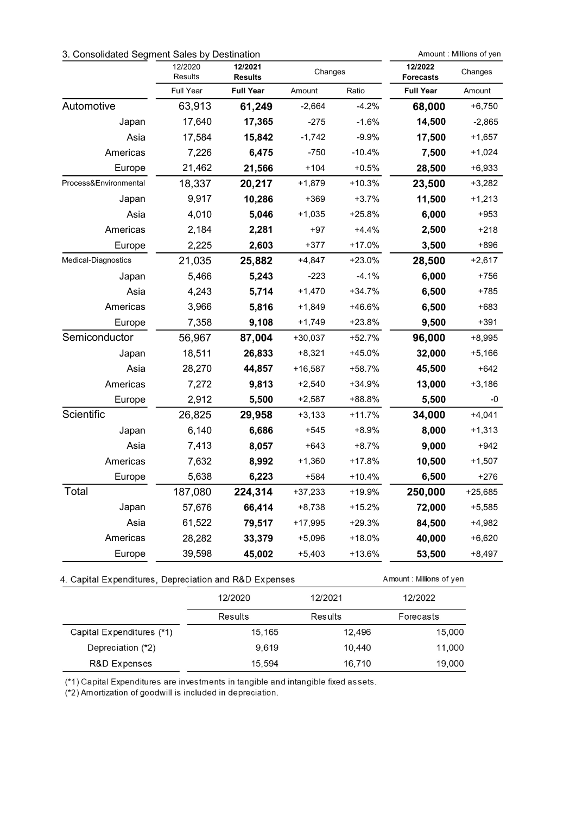# 3. Consolidated Segment Sales by Destination Amount: Millions of yen

Amount: Millions of yen

|                       | 12/2020<br>Results | 12/2021<br><b>Results</b> | Changes   |          | 12/2022<br><b>Forecasts</b> | Changes   |
|-----------------------|--------------------|---------------------------|-----------|----------|-----------------------------|-----------|
|                       | Full Year          | <b>Full Year</b>          | Amount    | Ratio    | <b>Full Year</b>            | Amount    |
| Automotive            | 63,913             | 61,249                    | $-2,664$  | $-4.2%$  | 68,000                      | $+6,750$  |
| Japan                 | 17,640             | 17,365                    | $-275$    | $-1.6%$  | 14,500                      | $-2,865$  |
| Asia                  | 17,584             | 15,842                    | $-1,742$  | $-9.9%$  | 17,500                      | $+1,657$  |
| Americas              | 7,226              | 6,475                     | $-750$    | $-10.4%$ | 7,500                       | $+1,024$  |
| Europe                | 21,462             | 21,566                    | $+104$    | $+0.5%$  | 28,500                      | $+6,933$  |
| Process&Environmental | 18,337             | 20,217                    | $+1,879$  | $+10.3%$ | 23,500                      | $+3,282$  |
| Japan                 | 9,917              | 10,286                    | $+369$    | $+3.7%$  | 11,500                      | $+1,213$  |
| Asia                  | 4,010              | 5,046                     | $+1,035$  | $+25.8%$ | 6,000                       | $+953$    |
| Americas              | 2,184              | 2,281                     | $+97$     | $+4.4%$  | 2,500                       | +218      |
| Europe                | 2,225              | 2,603                     | $+377$    | +17.0%   | 3,500                       | +896      |
| Medical-Diagnostics   | 21,035             | 25,882                    | $+4,847$  | $+23.0%$ | 28,500                      | $+2,617$  |
| Japan                 | 5,466              | 5,243                     | $-223$    | $-4.1%$  | 6,000                       | +756      |
| Asia                  | 4,243              | 5,714                     | $+1,470$  | +34.7%   | 6,500                       | $+785$    |
| Americas              | 3,966              | 5,816                     | $+1,849$  | $+46.6%$ | 6,500                       | +683      |
| Europe                | 7,358              | 9,108                     | $+1,749$  | $+23.8%$ | 9,500                       | $+391$    |
| Semiconductor         | 56,967             | 87,004                    | $+30,037$ | +52.7%   | 96,000                      | $+8,995$  |
| Japan                 | 18,511             | 26,833                    | $+8,321$  | $+45.0%$ | 32,000                      | $+5,166$  |
| Asia                  | 28,270             | 44,857                    | $+16,587$ | +58.7%   | 45,500                      | $+642$    |
| Americas              | 7,272              | 9,813                     | $+2,540$  | $+34.9%$ | 13,000                      | $+3,186$  |
| Europe                | 2,912              | 5,500                     | $+2,587$  | +88.8%   | 5,500                       | -0        |
| Scientific            | 26,825             | 29,958                    | $+3,133$  | $+11.7%$ | 34,000                      | $+4,041$  |
| Japan                 | 6,140              | 6,686                     | +545      | +8.9%    | 8,000                       | $+1,313$  |
| Asia                  | 7,413              | 8,057                     | $+643$    | $+8.7%$  | 9,000                       | $+942$    |
| Americas              | 7,632              | 8,992                     | $+1,360$  | $+17.8%$ | 10,500                      | $+1,507$  |
| Europe                | 5,638              | 6,223                     | $+584$    | $+10.4%$ | 6,500                       | +276      |
| Total                 | 187,080            | 224,314                   | $+37,233$ | +19.9%   | 250,000                     | $+25,685$ |
| Japan                 | 57,676             | 66,414                    | $+8,738$  | $+15.2%$ | 72,000                      | $+5,585$  |
| Asia                  | 61,522             | 79,517                    | +17,995   | $+29.3%$ | 84,500                      | $+4,982$  |
| Americas              | 28,282             | 33,379                    | $+5,096$  | $+18.0%$ | 40,000                      | $+6,620$  |
| Europe                | 39,598             | 45,002                    | $+5,403$  | +13.6%   | 53,500                      | +8,497    |

## 4. Capital Expenditures, Depreciation and R&D Expenses

|                           | 12/2020 | 12/2021 | 12/2022   |
|---------------------------|---------|---------|-----------|
|                           | Results | Results | Forecasts |
| Capital Expenditures (*1) | 15,165  | 12,496  | 15,000    |
| Depreciation (*2)         | 9.619   | 10.440  | 11,000    |
| R&D Expenses              | 15,594  | 16,710  | 19,000    |

(\*1) Capital Expenditures are investments in tangible and intangible fixed assets.

(\*2) Amortization of goodwill is included in depreciation.